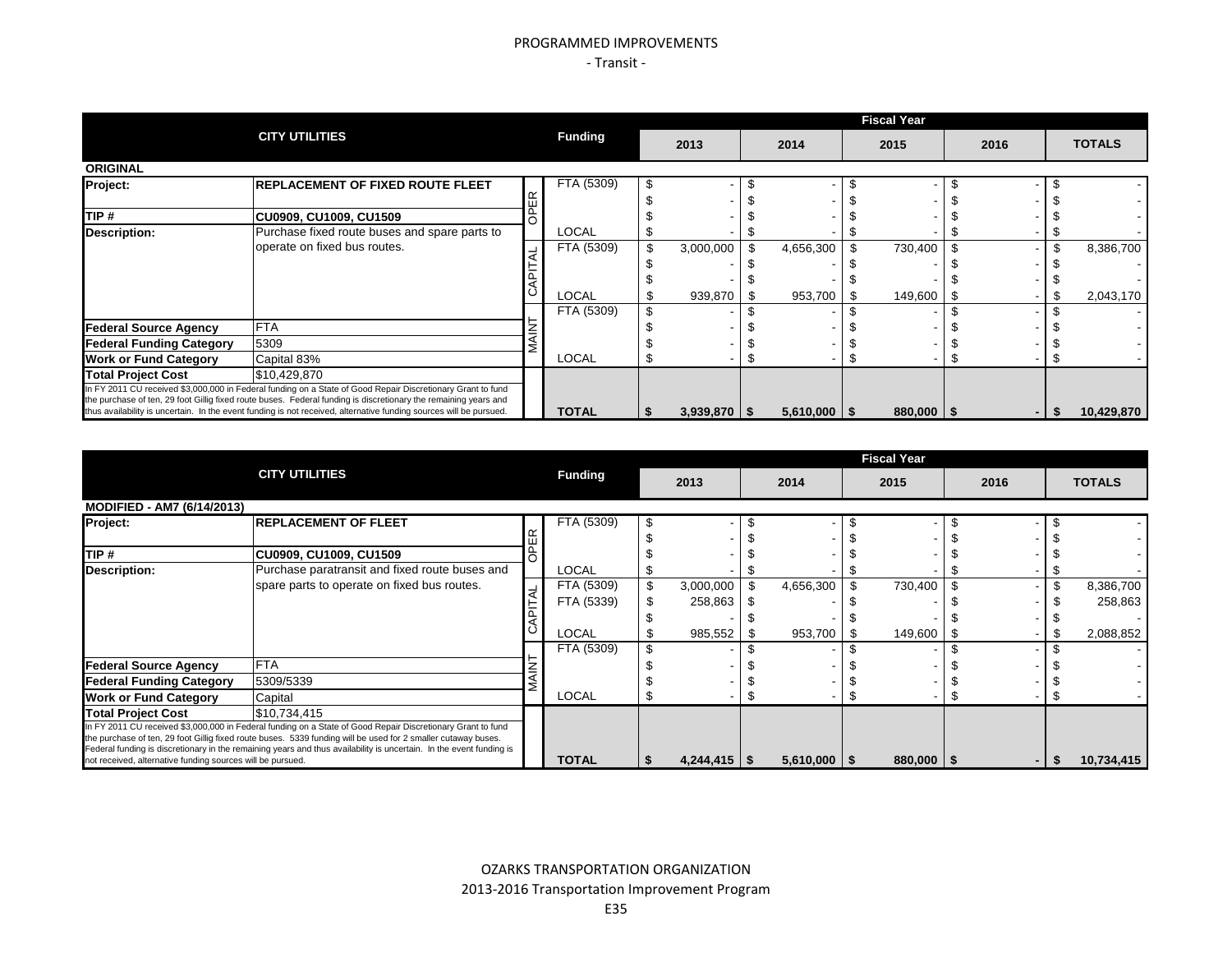# PROGRAMMED IMPROVEMENTS - Transit -

|                                                                                                                                                                                                                                                                                                                                                      |                                               |                | <b>Fiscal Year</b> |           |                  |           |                |         |  |      |            |               |  |  |  |  |
|------------------------------------------------------------------------------------------------------------------------------------------------------------------------------------------------------------------------------------------------------------------------------------------------------------------------------------------------------|-----------------------------------------------|----------------|--------------------|-----------|------------------|-----------|----------------|---------|--|------|------------|---------------|--|--|--|--|
|                                                                                                                                                                                                                                                                                                                                                      | <b>CITY UTILITIES</b>                         | <b>Funding</b> | 2013               |           |                  | 2014      |                | 2015    |  | 2016 |            | <b>TOTALS</b> |  |  |  |  |
| <b>ORIGINAL</b>                                                                                                                                                                                                                                                                                                                                      |                                               |                |                    |           |                  |           |                |         |  |      |            |               |  |  |  |  |
| Project:                                                                                                                                                                                                                                                                                                                                             | <b>IREPLACEMENT OF FIXED ROUTE FLEET</b>      | FTA (5309)     | -\$                |           |                  |           |                |         |  |      |            |               |  |  |  |  |
|                                                                                                                                                                                                                                                                                                                                                      |                                               |                |                    |           |                  |           |                |         |  |      |            |               |  |  |  |  |
| TIP#                                                                                                                                                                                                                                                                                                                                                 | CU0909, CU1009, CU1509                        |                |                    |           |                  |           |                |         |  |      |            |               |  |  |  |  |
| Description:                                                                                                                                                                                                                                                                                                                                         | Purchase fixed route buses and spare parts to | LOCAL          |                    |           |                  |           |                |         |  |      |            |               |  |  |  |  |
|                                                                                                                                                                                                                                                                                                                                                      | operate on fixed bus routes.                  | FTA (5309)     |                    | 3,000,000 |                  | 4,656,300 |                | 730,400 |  |      |            | 8,386,700     |  |  |  |  |
|                                                                                                                                                                                                                                                                                                                                                      |                                               |                |                    |           |                  |           |                |         |  |      |            |               |  |  |  |  |
|                                                                                                                                                                                                                                                                                                                                                      |                                               |                |                    |           |                  |           |                |         |  |      |            |               |  |  |  |  |
|                                                                                                                                                                                                                                                                                                                                                      |                                               | LOCAL          |                    | 939,870   | - \$             | 953,700   |                | 149,600 |  |      |            | 2,043,170     |  |  |  |  |
|                                                                                                                                                                                                                                                                                                                                                      |                                               | FTA (5309)     |                    |           |                  |           |                |         |  |      |            |               |  |  |  |  |
| <b>Federal Source Agency</b>                                                                                                                                                                                                                                                                                                                         | <b>FTA</b>                                    |                |                    |           |                  |           |                |         |  |      |            |               |  |  |  |  |
| <b>Federal Funding Category</b>                                                                                                                                                                                                                                                                                                                      | 5309                                          |                |                    |           |                  |           |                |         |  |      |            |               |  |  |  |  |
| <b>Work or Fund Category</b>                                                                                                                                                                                                                                                                                                                         | Capital 83%                                   | LOCAL          |                    |           |                  |           |                |         |  |      |            |               |  |  |  |  |
| <b>Total Project Cost</b>                                                                                                                                                                                                                                                                                                                            | \$10,429,870                                  |                |                    |           |                  |           |                |         |  |      |            |               |  |  |  |  |
| In FY 2011 CU received \$3,000,000 in Federal funding on a State of Good Repair Discretionary Grant to fund<br>the purchase of ten, 29 foot Gillig fixed route buses. Federal funding is discretionary the remaining years and<br>thus availability is uncertain. In the event funding is not received, alternative funding sources will be pursued. | TOTAL                                         |                | $3,939,870$   \$   |           | $5,610,000$   \$ |           | $880,000$   \$ |         |  |      | 10,429,870 |               |  |  |  |  |

|                                                                                                                                                                                                                                                                                                                                                                                                                   |                                                |                |              |           |                  |                | <b>Fiscal Year</b> |      |  |            |               |
|-------------------------------------------------------------------------------------------------------------------------------------------------------------------------------------------------------------------------------------------------------------------------------------------------------------------------------------------------------------------------------------------------------------------|------------------------------------------------|----------------|--------------|-----------|------------------|----------------|--------------------|------|--|------------|---------------|
|                                                                                                                                                                                                                                                                                                                                                                                                                   | <b>CITY UTILITIES</b>                          | <b>Funding</b> |              | 2013      |                  | 2014           | 2015               | 2016 |  |            | <b>TOTALS</b> |
| <b>MODIFIED - AM7 (6/14/2013)</b>                                                                                                                                                                                                                                                                                                                                                                                 |                                                |                |              |           |                  |                |                    |      |  |            |               |
| Project:                                                                                                                                                                                                                                                                                                                                                                                                          | <b>REPLACEMENT OF FLEET</b>                    |                | FTA (5309)   |           |                  |                |                    |      |  |            |               |
|                                                                                                                                                                                                                                                                                                                                                                                                                   |                                                |                |              |           |                  |                |                    |      |  |            |               |
| <b>TIP#</b>                                                                                                                                                                                                                                                                                                                                                                                                       | CU0909, CU1009, CU1509                         |                |              |           |                  |                |                    |      |  |            |               |
| <b>Description:</b>                                                                                                                                                                                                                                                                                                                                                                                               | Purchase paratransit and fixed route buses and |                | <b>LOCAL</b> |           |                  |                |                    |      |  |            |               |
|                                                                                                                                                                                                                                                                                                                                                                                                                   | spare parts to operate on fixed bus routes.    |                | FTA (5309)   | 3,000,000 | \$               | 4,656,300      | 730,400            |      |  |            | 8,386,700     |
|                                                                                                                                                                                                                                                                                                                                                                                                                   |                                                |                | FTA (5339)   | 258,863   |                  |                |                    |      |  |            | 258,863       |
|                                                                                                                                                                                                                                                                                                                                                                                                                   |                                                |                |              |           |                  |                |                    |      |  |            |               |
|                                                                                                                                                                                                                                                                                                                                                                                                                   |                                                |                | <b>LOCAL</b> | 985,552   |                  | 953,700        | 149,600            |      |  |            | 2,088,852     |
|                                                                                                                                                                                                                                                                                                                                                                                                                   |                                                |                | FTA (5309)   |           |                  |                |                    |      |  |            |               |
| <b>Federal Source Agency</b>                                                                                                                                                                                                                                                                                                                                                                                      | <b>FTA</b>                                     |                |              |           |                  |                |                    |      |  |            |               |
| <b>Federal Funding Category</b>                                                                                                                                                                                                                                                                                                                                                                                   | 5309/5339                                      |                |              |           |                  |                |                    |      |  |            |               |
| <b>Work or Fund Category</b>                                                                                                                                                                                                                                                                                                                                                                                      | Capital                                        |                | <b>LOCAL</b> |           |                  |                |                    |      |  |            |               |
| <b>Total Project Cost</b>                                                                                                                                                                                                                                                                                                                                                                                         | \$10.734.415                                   |                |              |           |                  |                |                    |      |  |            |               |
| In FY 2011 CU received \$3,000,000 in Federal funding on a State of Good Repair Discretionary Grant to fund<br>the purchase of ten, 29 foot Gillig fixed route buses. 5339 funding will be used for 2 smaller cutaway buses.<br>Federal funding is discretionary in the remaining years and thus availability is uncertain. In the event funding is<br>not received, alternative funding sources will be pursued. |                                                | <b>TOTAL</b>   |              |           | $5,610,000$   \$ | $880,000$   \$ |                    |      |  | 10,734,415 |               |
|                                                                                                                                                                                                                                                                                                                                                                                                                   |                                                |                |              |           |                  |                |                    |      |  |            |               |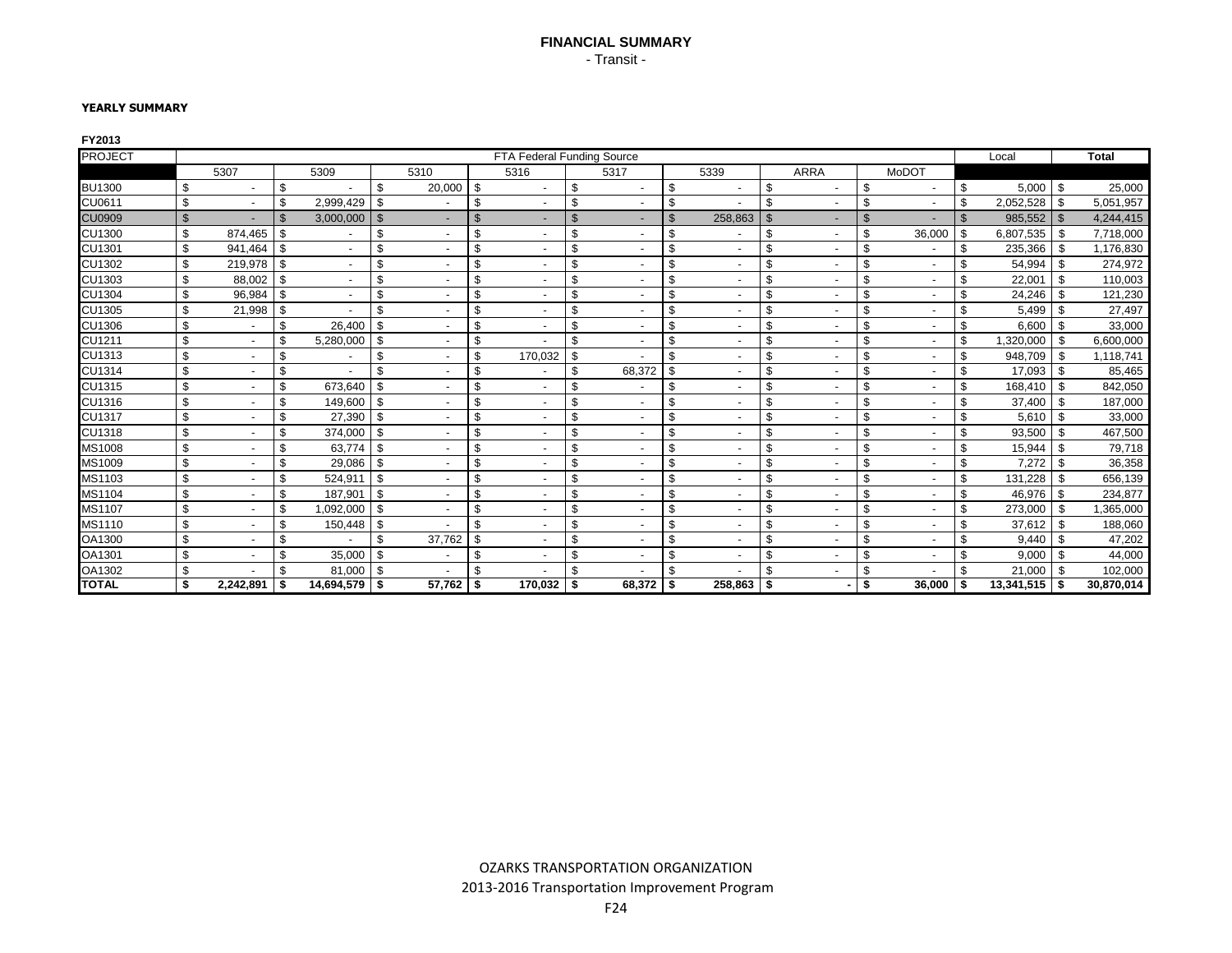## **FINANCIAL SUMMARY** - Transit -

#### **YEARLY SUMMARY**

| FY2013                 |               |                          |                |            |                |                          |                |                            |                |                          |                |                          |                |                          |                |                          |             |                   |              |              |
|------------------------|---------------|--------------------------|----------------|------------|----------------|--------------------------|----------------|----------------------------|----------------|--------------------------|----------------|--------------------------|----------------|--------------------------|----------------|--------------------------|-------------|-------------------|--------------|--------------|
| <b>PROJECT</b>         |               |                          |                |            |                |                          |                | FTA Federal Funding Source |                |                          |                |                          |                |                          |                |                          |             | Local             |              | <b>Total</b> |
|                        |               | 5307                     |                | 5309       |                | 5310                     |                | 5316                       |                | 5317                     |                | 5339                     |                | <b>ARRA</b>              |                | MoDOT                    |             |                   |              |              |
| <b>BU1300</b>          | \$            | $\overline{\phantom{a}}$ | \$             |            | \$             | 20,000                   | \$.            |                            | \$             |                          | \$             |                          | \$             |                          | \$             |                          | \$          | 5,000             | \$           | 25,000       |
| CU0611                 | \$            | $\overline{\phantom{a}}$ | \$             | 2.999.429  | \$             |                          | \$             |                            | \$             | $\overline{\phantom{a}}$ | \$             |                          | \$             |                          | \$             |                          | \$          | 2.052.528         | \$           | 5,051,957    |
| <b>CU0909</b>          | $\mathbb{S}$  | -                        | $\mathfrak{L}$ | 3,000,000  | $\mathfrak{S}$ |                          | $\mathfrak{L}$ |                            | $\mathfrak{L}$ | $\blacksquare$           | $\mathfrak{L}$ | 258,863                  | $\mathfrak{S}$ | ٠                        | $\mathfrak{L}$ |                          |             | 985,552           | $\mathbb{S}$ | 4,244,415    |
| <b>CU1300</b>          | \$            | 874,465                  | \$             |            | \$             |                          | \$             | $\overline{\phantom{a}}$   | \$             | $\overline{\phantom{a}}$ | \$             |                          | \$             |                          | \$             | 36,000                   | \$          | 6,807,535         | \$           | 7,718,000    |
| <b>CU1301</b>          | \$            | 941,464                  | \$             |            | \$             |                          | \$             | $\overline{\phantom{a}}$   | \$             |                          | \$             |                          | \$             |                          | \$             |                          | \$          | 235,366           | \$           | 1,176,830    |
| <b>CU1302</b>          | \$            | 219.978                  | \$             |            | \$             |                          | \$             |                            | \$             |                          | \$             |                          | \$             |                          | \$             |                          | \$          | 54,994            | \$           | 274,972      |
| <b>CU1303</b>          | \$            | 88,002                   | \$             |            | \$             |                          | \$             |                            | \$             |                          | \$             |                          | \$             |                          | \$             |                          | \$          | 22,001            | \$           | 110,003      |
| <b>CU1304</b>          | \$            | 96,984                   | \$             |            | \$             |                          | \$             |                            | \$             |                          | \$             |                          | \$             |                          | \$             |                          | \$          | 24,246            | \$           | 121,230      |
| <b>CU1305</b>          | \$            | 21,998                   | \$             |            | \$             |                          | \$             |                            | \$             |                          | \$             |                          | \$             |                          | \$             |                          | \$          | 5,499             | \$           | 27,497       |
| <b>CU1306</b>          | \$            | $\overline{\phantom{a}}$ | \$             | 26,400     | \$             |                          | \$             |                            | \$             |                          | \$             | ٠                        | \$             |                          | \$             |                          | \$          | 6,600             | \$           | 33,000       |
| <b>CU1211</b>          | $\mathfrak s$ | $\overline{a}$           | \$             | 5,280,000  | \$             |                          | \$             |                            | \$             |                          | \$             | $\overline{\phantom{a}}$ | \$             |                          | \$             | ٠                        | \$          | ,320,000          | \$           | 6,600,000    |
| CU1313                 | \$            | $\overline{\phantom{a}}$ | \$             | ٠          | \$             |                          | \$             | 170,032                    | \$             |                          | \$             | $\overline{\phantom{a}}$ | \$             | $\overline{\phantom{a}}$ | \$             | ٠                        | \$          | 948,709           | \$           | 1,118,741    |
| <b>CU1314</b>          | $\mathfrak s$ | $\blacksquare$           | \$             |            | \$             |                          | \$             |                            | \$             | 68,372                   | \$             |                          | \$             |                          | \$             | $\overline{\phantom{0}}$ | \$          | 17,093            | \$           | 85,465       |
| <b>CU1315</b>          | \$            | $\overline{a}$           | \$             | 673.640    | \$             | $\overline{\phantom{a}}$ | \$             | $\overline{\phantom{0}}$   | £.             | $\overline{\phantom{0}}$ | \$             | $\overline{\phantom{a}}$ | \$             | $\overline{\phantom{a}}$ | \$             | $\overline{\phantom{0}}$ | <b>.</b> \$ | 168.410           | \$           | 842,050      |
| CU1316                 | \$            | $\overline{a}$           | $\mathsf{\$}$  | 149.600    | \$             |                          | \$             | $\overline{\phantom{0}}$   | \$             | $\overline{\phantom{a}}$ | \$             | $\overline{\phantom{0}}$ | \$             |                          | \$             | $\overline{\phantom{a}}$ | \$          | 37,400            | \$           | 187,000      |
| <b>CU1317</b>          | \$            | $\overline{\phantom{0}}$ | \$             | 27.390     | \$             |                          | \$             |                            | \$             | $\overline{\phantom{0}}$ | \$             |                          | \$             | $\overline{\phantom{a}}$ | \$             | $\overline{\phantom{a}}$ | £.          | 5,610             | \$           | 33,000       |
| <b>CU1318</b>          | \$            | $\overline{\phantom{a}}$ | \$             | 374.000    | \$             |                          | \$             | $\overline{\phantom{0}}$   | \$             | $\overline{\phantom{a}}$ | \$             |                          | \$             | $\overline{\phantom{a}}$ | \$             | $\overline{\phantom{0}}$ | Ŝ.          | 93.500            | \$           | 467,500      |
| MS1008                 | \$            | $\overline{\phantom{a}}$ | \$             | 63.774     | \$             |                          | \$             |                            | \$             |                          | \$             |                          | \$             | $\overline{\phantom{a}}$ | \$             | $\overline{\phantom{a}}$ | \$          | 15,944            | \$           | 79,718       |
| MS1009                 | \$            | $\overline{\phantom{a}}$ | $\mathsf{\$}$  | 29.086     | \$             |                          | \$             | $\overline{\phantom{a}}$   | \$             | $\overline{\phantom{a}}$ | \$             | $\overline{\phantom{a}}$ | \$             | $\overline{\phantom{a}}$ | \$             | $\overline{\phantom{a}}$ | \$          | 7.272             | \$           | 36,358       |
| MS1103                 | \$            | $\overline{\phantom{a}}$ | \$             | 524.911    | \$             |                          | \$             |                            | \$             |                          | \$             |                          | \$             |                          | \$             |                          | \$          | 131.228           | \$           | 656,139      |
| MS1104                 | \$            | $\overline{\phantom{a}}$ | \$             | 187,901    | \$             |                          | \$             |                            | \$             |                          | \$             |                          | \$             |                          | $\sqrt[6]{2}$  |                          | \$          | 46.976            | \$           | 234,877      |
| MS1107                 | \$            | $\overline{\phantom{a}}$ | \$             | 1,092,000  | \$             |                          | \$             |                            | \$             |                          | <sup>\$</sup>  |                          | \$             |                          | \$             |                          | \$          | 273,000           | \$.          | ,365,000     |
| MS1110                 | \$            | $\overline{\phantom{a}}$ | $\mathsf{\$}$  | 150,448    | \$             |                          | \$             |                            | \$             |                          | \$             |                          | \$             |                          | \$             |                          | \$          | 37.612            | \$           | 188,060      |
| OA1300                 | \$            | ٠                        | \$             |            | \$             | 37.762                   | \$             |                            | \$             |                          | \$             |                          | \$             |                          | \$             | $\overline{\phantom{a}}$ | Ŝ.          | 9.440             | \$           | 47,202       |
| OA1301                 | \$            | $\overline{\phantom{a}}$ | \$             | 35,000     | \$             |                          | \$             |                            | \$             |                          | \$             |                          | \$             |                          | \$             |                          | Ŝ.          | 9,000             | \$           | 44,000       |
| <b>OA1302</b><br>TOTAL | \$            |                          | \$             | 81,000     | - \$           |                          | \$             |                            | £.             |                          | \$             |                          | \$             |                          | \$             |                          | \$          | 21,000            | -S           | 102,000      |
|                        | \$            | 2,242,891                | \$             | 14,694,579 | l s            | 57,762                   | -S             | 170,032                    | \$             | 68,372                   | l \$           | 258,863                  | \$             |                          | \$             | 36,000                   | - \$        | $13,341,515$   \$ |              | 30,870,014   |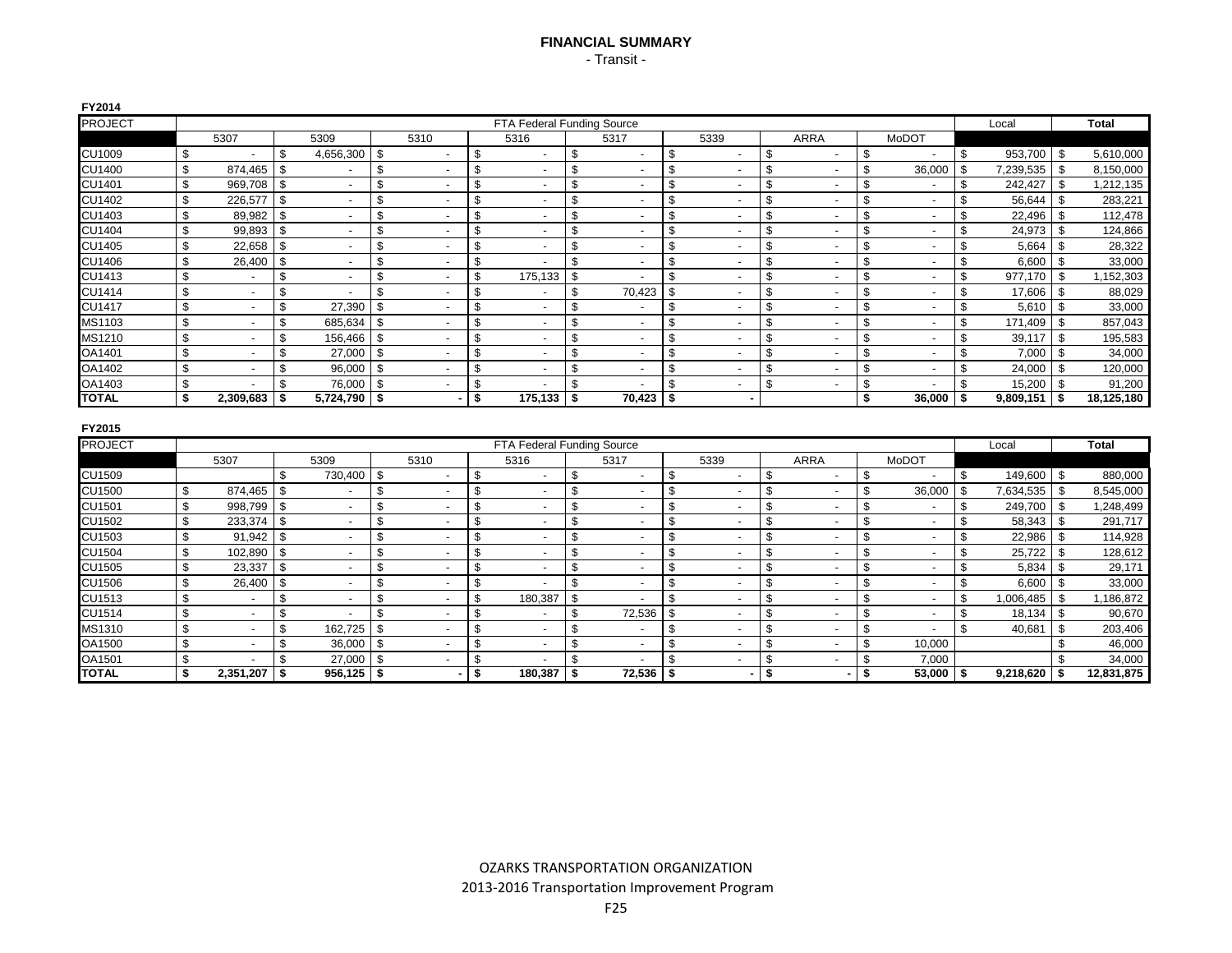## **FINANCIAL SUMMARY** - Transit -

**FY2014**

| <b>PROJECT</b> |                           |                          |              |                          |                           |                          |                           |                            | FTA Federal Funding Source |                          |                |                          |    |                          |              |                          |               |                |      | <b>Total</b> |
|----------------|---------------------------|--------------------------|--------------|--------------------------|---------------------------|--------------------------|---------------------------|----------------------------|----------------------------|--------------------------|----------------|--------------------------|----|--------------------------|--------------|--------------------------|---------------|----------------|------|--------------|
|                |                           | 5307                     |              | 5309                     |                           | 5310                     |                           | 5316                       |                            | 5317                     |                | 5339                     |    | <b>ARRA</b>              |              | <b>MoDOT</b>             |               |                |      |              |
| <b>CU1009</b>  | \$                        | $\overline{\phantom{a}}$ | \$           | 4,656,300                | \$                        | $\overline{\phantom{a}}$ | \$                        | $\overline{\phantom{a}}$   | \$                         | $\overline{\phantom{a}}$ | \$             | $\sim$                   | \$ | $\blacksquare$           | \$           |                          | \$            | 953.700        | l \$ | 5,610,000    |
| CU1400         | \$                        | 874,465                  | \$           |                          | \$                        | $\overline{\phantom{a}}$ | \$                        | $\overline{\phantom{a}}$   | \$                         | $\overline{\phantom{a}}$ | \$             | $\overline{\phantom{a}}$ | \$ | $\blacksquare$           | \$           | 36,000                   | \$            | 7,239,535      | - \$ | 8,150,000    |
| CU1401         | \$                        | 969,708 \$               |              | $\overline{\phantom{a}}$ | \$                        | $\overline{\phantom{a}}$ | $\mathbb{S}$              | $\overline{\phantom{a}}$   | \$                         | $\overline{\phantom{a}}$ | $\mathfrak s$  | $\overline{\phantom{a}}$ | \$ | $\blacksquare$           | \$           | $\overline{\phantom{a}}$ | \$            | 242,427        | \$   | 1,212,135    |
| <b>CU1402</b>  | \$                        | 226,577                  | \$           | $\blacksquare$           | \$                        | $\overline{\phantom{a}}$ | \$                        |                            | \$                         | $\blacksquare$           | \$             | $\overline{\phantom{a}}$ | \$ | $\overline{\phantom{a}}$ | \$           |                          | \$            | 56,644         | \$   | 283,221      |
| CU1403         | \$                        | 89,982                   | \$           | $\overline{\phantom{a}}$ | \$                        | $\overline{\phantom{a}}$ | \$                        | $\blacksquare$             | \$                         | $\overline{\phantom{a}}$ | \$             | $\blacksquare$           | \$ | $\overline{\phantom{a}}$ | \$           | $\overline{\phantom{a}}$ | \$            | 22,496         | \$   | 112,478      |
| <b>CU1404</b>  | \$                        | 99,893                   | \$           | $\blacksquare$           | \$                        | $\overline{\phantom{a}}$ | \$                        | $\overline{\phantom{a}}$   | \$                         | $\overline{\phantom{a}}$ | \$             | $\blacksquare$           | \$ | $\overline{\phantom{a}}$ | \$           |                          | \$            | 24,973         | \$   | 124,866      |
| <b>CU1405</b>  | \$                        | 22,658                   | \$           | $\blacksquare$           | \$                        | $\overline{\phantom{a}}$ | $\mathbb{S}$              | $\overline{\phantom{a}}$   | \$                         | $\overline{\phantom{a}}$ | $\mathbb{S}$   | $\overline{\phantom{a}}$ | \$ | $\overline{\phantom{a}}$ | \$           |                          | \$            | 5,664          | \$   | 28,322       |
| <b>CU1406</b>  | \$                        | 26,400                   | $\vert$ \$   | $\overline{a}$           | \$                        | $\overline{\phantom{a}}$ | $\mathfrak s$             |                            | \$                         | $\overline{a}$           | \$             | $\blacksquare$           | \$ | $\overline{a}$           | \$           |                          | \$            | 6,600          | \$   | 33,000       |
| <b>CU1413</b>  | \$                        | $\overline{\phantom{a}}$ | \$           | $\overline{a}$           | \$                        | $\overline{a}$           | \$                        | 175,133                    | \$                         | $\overline{a}$           | \$             | $\blacksquare$           | \$ | $\overline{a}$           | \$           | $\overline{\phantom{a}}$ | <sup>\$</sup> | 977.170        | - \$ | 1,152,303    |
| <b>CU1414</b>  | \$                        | $\sim$                   | \$           | $\overline{a}$           | \$                        | $\overline{a}$           | $\sqrt[6]{2}$             |                            | \$                         | 70,423                   | \$             | $\blacksquare$           | \$ | $\overline{a}$           | \$           |                          | <sup>\$</sup> | 17,606         | \$   | 88,029       |
| <b>CU1417</b>  | $\mathfrak s$             | $\overline{\phantom{a}}$ | \$           | 27,390                   | \$                        | $\blacksquare$           | \$                        |                            | \$                         | $\blacksquare$           | $\mathfrak s$  | $\overline{\phantom{a}}$ | \$ |                          | \$           |                          | \$            | 5,610          | \$   | 33,000       |
| MS1103         | $\mathfrak s$             | $\overline{\phantom{a}}$ | \$           | 685,634                  | \$                        | $\blacksquare$           | $\mathbb{S}$              |                            | \$                         | $\blacksquare$           | $$\mathbb{S}$$ | $\overline{\phantom{a}}$ | \$ |                          | \$           |                          | \$            | 171,409        | \$   | 857,043      |
| MS1210         | \$                        | $\overline{\phantom{a}}$ | \$           | 156,466                  | \$                        | $\blacksquare$           | $\mathbb{S}$              |                            | \$                         | $\blacksquare$           | $\mathfrak{s}$ | $\overline{\phantom{a}}$ | \$ | $\overline{\phantom{a}}$ | \$           |                          | \$            | 39,117         | \$   | 195,583      |
| OA1401         | \$                        | $\overline{\phantom{a}}$ | \$           | 27,000                   | \$                        | $\blacksquare$           | $\mathfrak s$             |                            | \$                         |                          | \$             | $\overline{\phantom{a}}$ | \$ | $\overline{a}$           | \$           |                          | \$            | 7,000          | l \$ | 34,000       |
| OA1402         | \$                        | $\overline{\phantom{a}}$ | \$           | 96,000                   | \$                        | $\overline{\phantom{a}}$ | $\mathbb{S}$              |                            | \$                         | $\overline{\phantom{a}}$ | \$             | $\overline{\phantom{a}}$ | \$ | $\blacksquare$           | \$           |                          | \$            | 24,000         | l s  | 120,000      |
| OA1403         | \$                        |                          | \$           | 76,000                   | \$                        |                          | $\mathbb{S}$              |                            | \$                         |                          | $$\mathbb{S}$$ | $\blacksquare$           | \$ |                          | \$           |                          | \$            | $15,200$ \$    |      | 91,200       |
| <b>TOTAL</b>   | s.                        | 2,309,683                | -\$          | $5,724,790$ \$           |                           | - 1                      | $\overline{\mathbf{s}}$   | 175,133                    | \$                         | $70,423$ \$              |                |                          |    |                          | \$           | 36,000                   | - \$          | $9,809,151$ \$ |      | 18,125,180   |
|                |                           |                          |              |                          |                           |                          |                           |                            |                            |                          |                |                          |    |                          |              |                          |               |                |      |              |
| FY2015         |                           |                          |              |                          |                           |                          |                           |                            |                            |                          |                |                          |    |                          |              |                          |               |                |      |              |
| <b>PROJECT</b> |                           |                          |              |                          |                           |                          |                           | FTA Federal Funding Source |                            |                          |                |                          |    |                          |              |                          |               | Local          |      | <b>Total</b> |
|                |                           | 5307                     |              | 5309                     |                           | 5310                     |                           | 5316                       |                            | 5317                     |                | 5339                     |    | <b>ARRA</b>              |              | MoDOT                    |               |                |      |              |
| <b>CU1509</b>  |                           |                          | \$           | 730,400                  | \$                        |                          | \$                        |                            | \$                         | $\overline{\phantom{a}}$ | \$             | $\overline{\phantom{a}}$ | \$ | $\overline{\phantom{a}}$ | \$           |                          | \$            | 149,600 \$     |      | 880,000      |
| <b>CU1500</b>  | \$                        | 874,465                  | l \$         |                          | \$                        |                          | $\mathbb{S}$              |                            | \$                         | $\blacksquare$           | $\mathfrak s$  | $\overline{\phantom{a}}$ | \$ |                          | \$           | 36,000                   | \$            | 7,634,535      | l \$ | 8,545,000    |
| CU1501         | \$                        | 998,799 \$               |              | $\overline{\phantom{a}}$ | \$                        | $\overline{\phantom{a}}$ | $\mathbb{S}$              | $\overline{\phantom{a}}$   | \$                         | $\overline{\phantom{a}}$ | \$             | $\overline{\phantom{a}}$ | \$ | $\overline{\phantom{a}}$ | \$           |                          | \$            | 249,700        | l s  | 1,248,499    |
| CU1502         | \$                        | 233,374                  | \$           | $\sim$                   | $\boldsymbol{\mathsf{S}}$ | $\overline{\phantom{a}}$ | $\mathbb{S}$              | $\overline{\phantom{a}}$   | \$                         | $\overline{\phantom{a}}$ | $$\mathbb{S}$$ | $\overline{\phantom{a}}$ | \$ | $\blacksquare$           | \$           |                          | \$            | $58,343$ \$    |      | 291,717      |
| CU1503         | \$                        | $91,942$ \$              |              | $\overline{\phantom{a}}$ | \$                        | $\overline{\phantom{a}}$ | $\mathbb{S}$              | $\overline{\phantom{a}}$   | \$                         | $\overline{\phantom{a}}$ | $$\mathbb{S}$$ | $\overline{\phantom{a}}$ | \$ | $\blacksquare$           | \$           |                          | \$            | 22,986         | -\$  | 114,928      |
| <b>CU1504</b>  | \$                        | $102,890$ \$             |              | $\sim$                   | \$                        | $\overline{\phantom{a}}$ | $\mathbb{S}$              | $\blacksquare$             | \$                         | $\overline{\phantom{a}}$ | $$\mathbb{S}$$ | $\overline{\phantom{a}}$ | \$ | $\blacksquare$           | \$           | $\overline{\phantom{a}}$ | \$            | 25,722         | \$   | 128,612      |
| <b>CU1505</b>  | \$                        | 23,337                   | $\mathbb{S}$ | $\sim$                   | $\mathfrak s$             | $\overline{\phantom{a}}$ | $\sqrt[6]{\frac{1}{2}}$   | $\overline{\phantom{a}}$   | \$                         | $\blacksquare$           | $\mathfrak{s}$ | $\overline{\phantom{a}}$ | \$ | $\overline{a}$           | $\mathbb{S}$ | $\overline{\phantom{a}}$ | \$            | 5,834          | \$   | 29,171       |
| <b>CU1506</b>  | \$                        | 26,400                   | \$           | $\blacksquare$           | \$                        | $\overline{a}$           | $\mathfrak s$             |                            | \$                         | $\blacksquare$           | \$             | $\overline{\phantom{a}}$ | \$ | $\overline{a}$           | \$           |                          | \$            | $6,600$ \$     |      | 33,000       |
| <b>CU1513</b>  | \$                        | $\overline{\phantom{a}}$ | \$           | $\blacksquare$           | $\boldsymbol{\mathsf{S}}$ |                          | $\overline{\$}$           | 180,387                    | \$                         |                          | $$\mathbb{S}$$ | $\overline{\phantom{a}}$ | \$ |                          | \$           |                          | \$            | 1,006,485      | -\$  | 1,186,872    |
| <b>CU1514</b>  | $\boldsymbol{\mathsf{S}}$ | $\overline{\phantom{a}}$ | \$           |                          | \$                        |                          | $\sqrt[6]{2}$             |                            | \$                         | 72,536                   | \$             | $\overline{\phantom{a}}$ | \$ |                          | \$           |                          | \$            | $18,134$ \$    |      | 90,670       |
| MS1310         | \$                        | $\overline{a}$           | \$           | 162,725                  | $\mathfrak s$             |                          | $\overline{\mathfrak{s}}$ |                            | \$                         | $\overline{a}$           | $$\mathbb{S}$$ | $\blacksquare$           | \$ |                          | \$           |                          | \$            | 40,681         | \$   | 203,406      |
| OA1500         | \$                        | $\overline{\phantom{a}}$ | \$           | 36,000                   | $\mathfrak{S}$            |                          | $\overline{\mathfrak{s}}$ |                            | \$                         |                          | $\mathfrak s$  | $\blacksquare$           | \$ |                          | \$           | 10,000                   |               |                | \$   | 46,000       |
| OA1501         | \$                        |                          | \$           | 27,000                   | \$                        |                          | \$                        |                            | \$                         |                          | \$             | $\blacksquare$           | \$ |                          | \$           | 7,000                    |               |                | \$   | 34,000       |
| <b>TOTAL</b>   | \$                        | $2,351,207$ \$           |              | $956,125$ \$             |                           |                          | \$                        | 180,387                    | -\$                        | 72,536                   | 5              | $\blacksquare$           | \$ |                          | \$           | 53,000                   | <b>S</b>      | 9,218,620      | -\$  | 12,831,875   |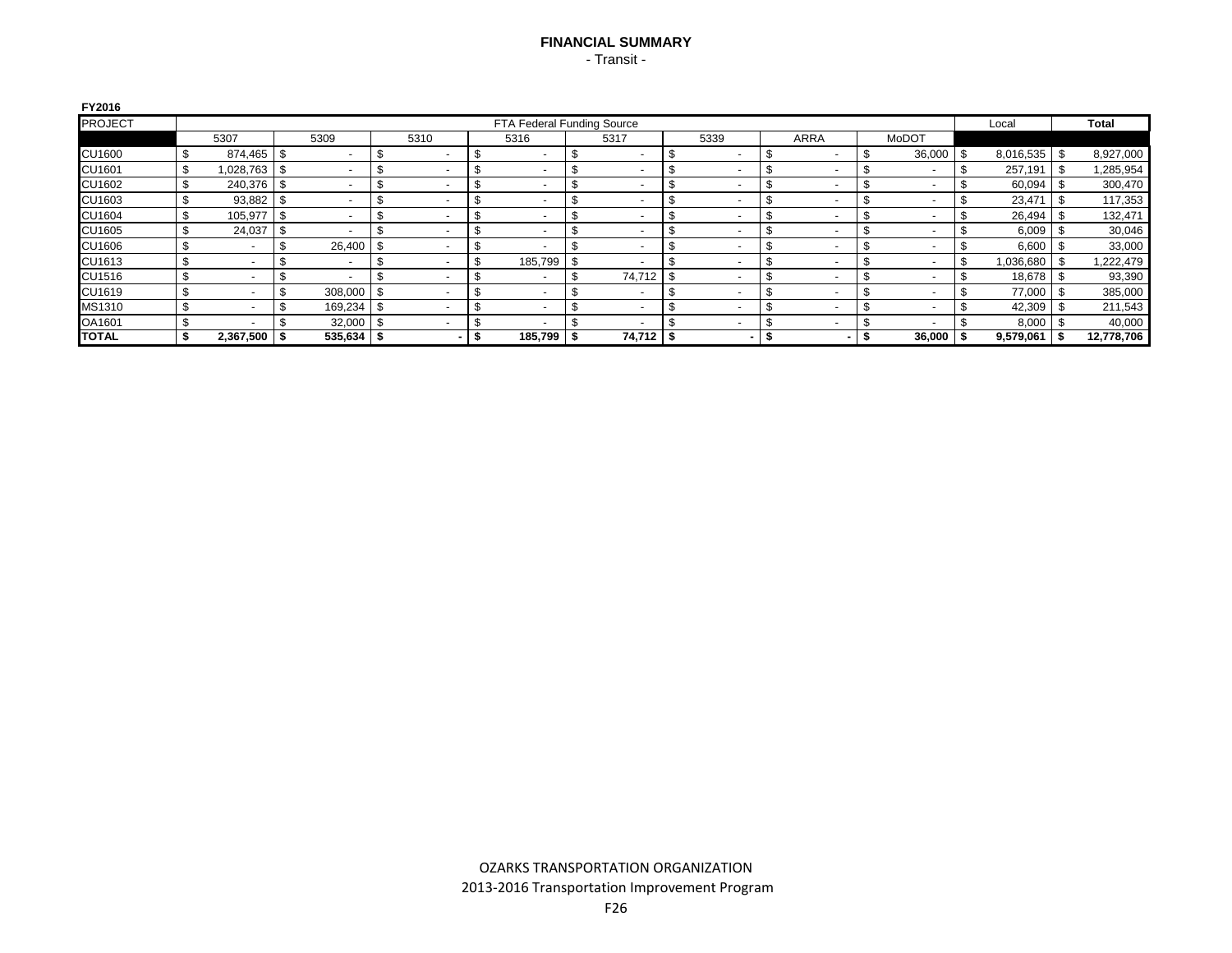## **FINANCIAL SUMMARY** - Transit -

**FY2016**

| <b>PROJECT</b> |                          |      |               |      |      | FTA Federal Funding Source |                          |      |                          |    |             |        |     | Local          |      | Total      |
|----------------|--------------------------|------|---------------|------|------|----------------------------|--------------------------|------|--------------------------|----|-------------|--------|-----|----------------|------|------------|
|                | 5307                     |      | 5309          |      | 5310 | 5316                       | 5317                     |      | 5339                     |    | <b>ARRA</b> | MoDOT  |     |                |      |            |
| <b>CU1600</b>  | 874,465                  | l \$ |               |      |      |                            | $\overline{\phantom{a}}$ |      |                          |    |             | 36,000 | -\$ | $8,016,535$ \$ |      | 8,927,000  |
| <b>CU1601</b>  | 1,028,763                | l \$ |               |      |      |                            | $\overline{\phantom{a}}$ |      |                          | J. |             |        |     | 257,191        | l \$ | 1,285,954  |
| <b>CU1602</b>  | 240,376 \$               |      |               |      |      |                            | $\overline{\phantom{a}}$ |      | $\overline{\phantom{a}}$ |    |             |        |     | 60,094         | ା \$ | 300,470    |
| <b>CU1603</b>  | 93,882                   | - \$ |               |      |      |                            | $\overline{\phantom{a}}$ |      | $\overline{\phantom{a}}$ |    |             |        |     | 23,471         |      | 117,353    |
| <b>CU1604</b>  | 105,977                  | J    |               |      |      |                            | $\overline{\phantom{a}}$ |      | $\overline{\phantom{0}}$ |    |             |        |     | 26,494         |      | 132,471    |
| <b>CU1605</b>  | 24,037                   |      |               |      |      |                            | $\overline{\phantom{0}}$ |      | $\overline{\phantom{a}}$ | £  |             |        |     | 6,009          |      | 30,046     |
| <b>CU1606</b>  |                          | - 3  | 26,400        |      |      |                            | $\overline{\phantom{a}}$ |      | $\overline{\phantom{0}}$ | J  |             |        |     | $6,600$ \$     |      | 33,000     |
| CU1613         | $\overline{\phantom{0}}$ |      |               |      |      | 185.799                    | $\overline{\phantom{a}}$ |      | $\overline{\phantom{a}}$ |    |             |        |     | 1.036.680      |      | 1,222,479  |
| CU1516         | $\overline{\phantom{0}}$ |      |               |      |      | $\overline{\phantom{a}}$   | 74,712                   | - \$ | $\overline{\phantom{a}}$ |    |             |        |     | 18,678 \$      |      | 93,390     |
| <b>CU1619</b>  |                          |      | 308,000       | l \$ |      |                            | $\overline{\phantom{0}}$ |      | $\overline{\phantom{0}}$ | S  |             |        |     | 77,000         | \$   | 385,000    |
| MS1310         |                          | J.   | 169,234       | -\$  |      |                            | $\overline{\phantom{0}}$ |      |                          | £  |             |        |     | 42,309         | \$   | 211,543    |
| OA1601         |                          |      | $32,000$ \ \$ |      |      |                            | $\overline{\phantom{a}}$ |      |                          | £  |             |        |     | $8,000$ \$     |      | 40,000     |
| <b>TOTAL</b>   | $2,367,500$ \$           |      | $535,634$ \$  |      |      | $185,799$ \$               | $74,712$ \$              |      |                          |    |             | 36,000 |     | 9,579,061      | l \$ | 12,778,706 |